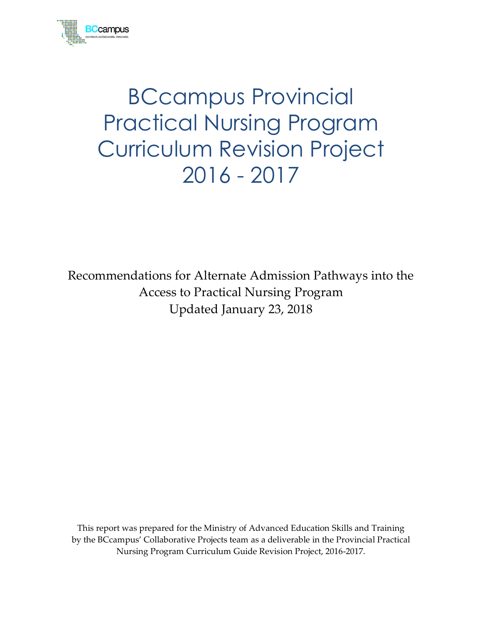

# BCcampus Provincial Practical Nursing Program Curriculum Revision Project 2016 - 2017

Recommendations for Alternate Admission Pathways into the Access to Practical Nursing Program Updated January 23, 2018

This report was prepared for the Ministry of Advanced Education Skills and Training by the BCcampus' Collaborative Projects team as a deliverable in the Provincial Practical Nursing Program Curriculum Guide Revision Project, 2016-2017.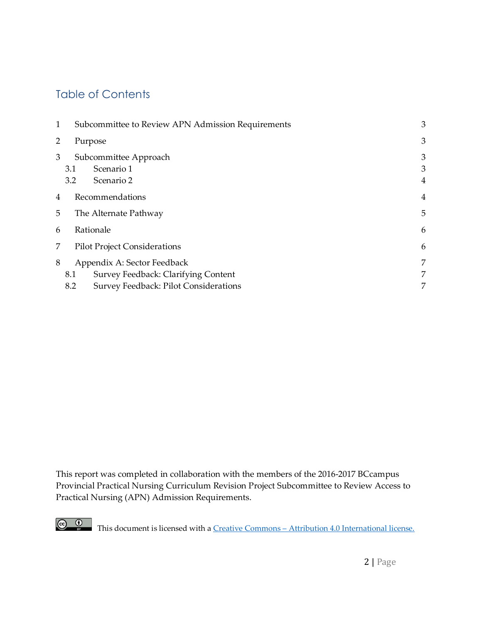# Table of Contents

| 1 | Subcommittee to Review APN Admission Requirements |                                                   | 3                        |
|---|---------------------------------------------------|---------------------------------------------------|--------------------------|
| 2 | Purpose                                           |                                                   | 3                        |
| 3 | 3.1<br>3.2                                        | Subcommittee Approach<br>Scenario 1<br>Scenario 2 | 3<br>3<br>$\overline{4}$ |
| 4 | Recommendations                                   |                                                   | $\overline{4}$           |
| 5 | The Alternate Pathway                             |                                                   | 5                        |
| 6 | Rationale                                         |                                                   | 6                        |
| 7 | <b>Pilot Project Considerations</b>               |                                                   | 6                        |
| 8 | Appendix A: Sector Feedback                       |                                                   | 7                        |
|   | 8.1                                               | Survey Feedback: Clarifying Content               | 7                        |
|   | 8.2                                               | Survey Feedback: Pilot Considerations             | 7                        |

This report was completed in collaboration with the members of the 2016-2017 BCcampus Provincial Practical Nursing Curriculum Revision Project Subcommittee to Review Access to Practical Nursing (APN) Admission Requirements.



This document is licensed with a **Creative Commons** – [Attribution 4.0 International license.](https://creativecommons.org/licenses/by/4.0/)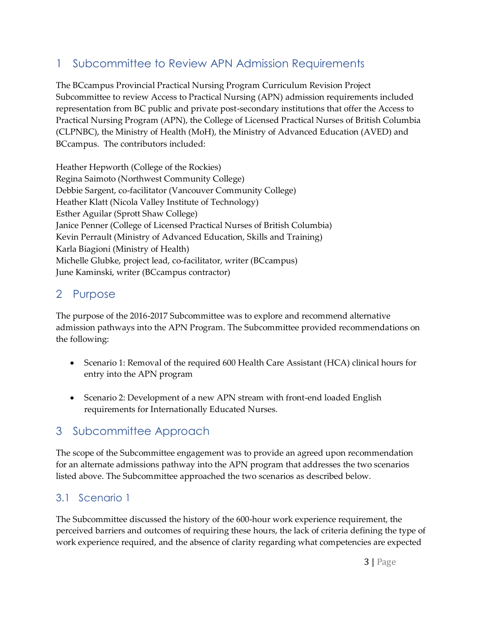# 1 Subcommittee to Review APN Admission Requirements

The BCcampus Provincial Practical Nursing Program Curriculum Revision Project Subcommittee to review Access to Practical Nursing (APN) admission requirements included representation from BC public and private post-secondary institutions that offer the Access to Practical Nursing Program (APN), the College of Licensed Practical Nurses of British Columbia (CLPNBC), the Ministry of Health (MoH), the Ministry of Advanced Education (AVED) and BCcampus. The contributors included:

Heather Hepworth (College of the Rockies) Regina Saimoto (Northwest Community College) Debbie Sargent, co-facilitator (Vancouver Community College) Heather Klatt (Nicola Valley Institute of Technology) Esther Aguilar (Sprott Shaw College) Janice Penner (College of Licensed Practical Nurses of British Columbia) Kevin Perrault (Ministry of Advanced Education, Skills and Training) Karla Biagioni (Ministry of Health) Michelle Glubke, project lead, co-facilitator, writer (BCcampus) June Kaminski, writer (BCcampus contractor)

## 2 Purpose

The purpose of the 2016-2017 Subcommittee was to explore and recommend alternative admission pathways into the APN Program. The Subcommittee provided recommendations on the following:

- Scenario 1: Removal of the required 600 Health Care Assistant (HCA) clinical hours for entry into the APN program
- Scenario 2: Development of a new APN stream with front-end loaded English requirements for Internationally Educated Nurses.

# 3 Subcommittee Approach

The scope of the Subcommittee engagement was to provide an agreed upon recommendation for an alternate admissions pathway into the APN program that addresses the two scenarios listed above. The Subcommittee approached the two scenarios as described below.

## 3.1 Scenario 1

The Subcommittee discussed the history of the 600-hour work experience requirement, the perceived barriers and outcomes of requiring these hours, the lack of criteria defining the type of work experience required, and the absence of clarity regarding what competencies are expected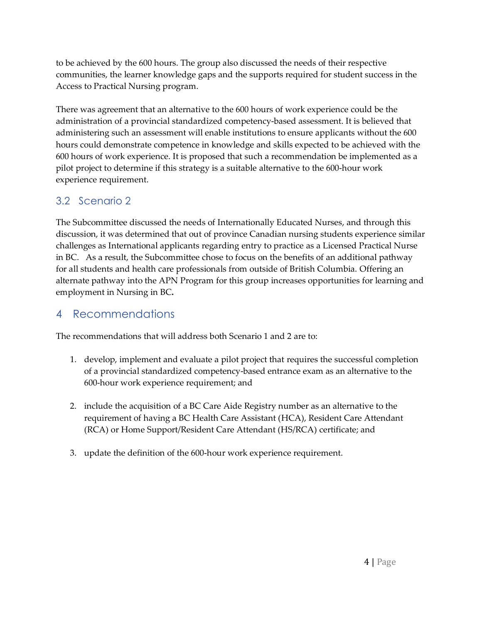to be achieved by the 600 hours. The group also discussed the needs of their respective communities, the learner knowledge gaps and the supports required for student success in the Access to Practical Nursing program.

There was agreement that an alternative to the 600 hours of work experience could be the administration of a provincial standardized competency-based assessment. It is believed that administering such an assessment will enable institutions to ensure applicants without the 600 hours could demonstrate competence in knowledge and skills expected to be achieved with the 600 hours of work experience. It is proposed that such a recommendation be implemented as a pilot project to determine if this strategy is a suitable alternative to the 600-hour work experience requirement.

## 3.2 Scenario 2

The Subcommittee discussed the needs of Internationally Educated Nurses, and through this discussion, it was determined that out of province Canadian nursing students experience similar challenges as International applicants regarding entry to practice as a Licensed Practical Nurse in BC. As a result, the Subcommittee chose to focus on the benefits of an additional pathway for all students and health care professionals from outside of British Columbia. Offering an alternate pathway into the APN Program for this group increases opportunities for learning and employment in Nursing in BC**.**

## 4 Recommendations

The recommendations that will address both Scenario 1 and 2 are to:

- 1. develop, implement and evaluate a pilot project that requires the successful completion of a provincial standardized competency-based entrance exam as an alternative to the 600-hour work experience requirement; and
- 2. include the acquisition of a BC Care Aide Registry number as an alternative to the requirement of having a BC Health Care Assistant (HCA), Resident Care Attendant (RCA) or Home Support/Resident Care Attendant (HS/RCA) certificate; and
- 3. update the definition of the 600-hour work experience requirement.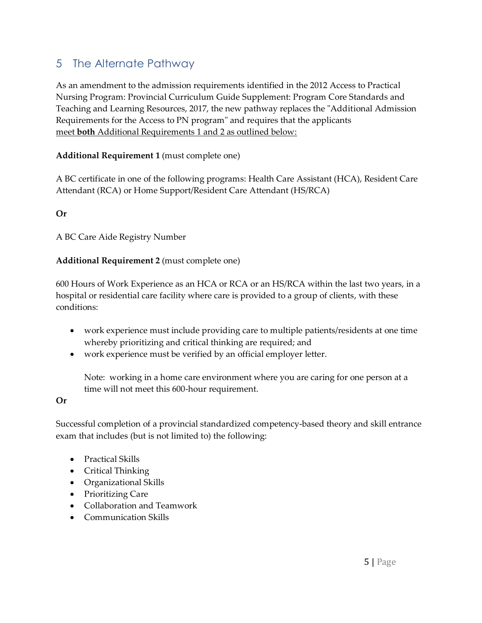# 5 The Alternate Pathway

As an amendment to the admission requirements identified in the 2012 Access to Practical Nursing Program: Provincial Curriculum Guide Supplement: Program Core Standards and Teaching and Learning Resources, 2017, the new pathway replaces the "Additional Admission Requirements for the Access to PN program" and requires that the applicants meet **both** Additional Requirements 1 and 2 as outlined below:

#### **Additional Requirement 1** (must complete one)

A BC certificate in one of the following programs: Health Care Assistant (HCA), Resident Care Attendant (RCA) or Home Support/Resident Care Attendant (HS/RCA)

#### **Or**

A BC Care Aide Registry Number

#### **Additional Requirement 2** (must complete one)

600 Hours of Work Experience as an HCA or RCA or an HS/RCA within the last two years, in a hospital or residential care facility where care is provided to a group of clients, with these conditions:

- work experience must include providing care to multiple patients/residents at one time whereby prioritizing and critical thinking are required; and
- work experience must be verified by an official employer letter.

Note: working in a home care environment where you are caring for one person at a time will not meet this 600-hour requirement.

#### **Or**

Successful completion of a provincial standardized competency-based theory and skill entrance exam that includes (but is not limited to) the following:

- Practical Skills
- Critical Thinking
- Organizational Skills
- Prioritizing Care
- Collaboration and Teamwork
- Communication Skills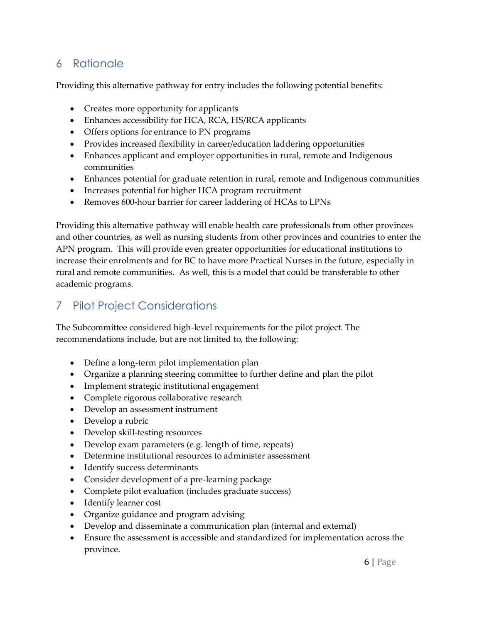# 6 Rationale

Providing this alternative pathway for entry includes the following potential benefits:

- Creates more opportunity for applicants
- Enhances accessibility for HCA, RCA, HS/RCA applicants
- Offers options for entrance to PN programs
- Provides increased flexibility in career/education laddering opportunities
- Enhances applicant and employer opportunities in rural, remote and Indigenous communities
- Enhances potential for graduate retention in rural, remote and Indigenous communities
- Increases potential for higher HCA program recruitment
- Removes 600-hour barrier for career laddering of HCAs to LPNs

Providing this alternative pathway will enable health care professionals from other provinces and other countries, as well as nursing students from other provinces and countries to enter the APN program. This will provide even greater opportunities for educational institutions to increase their enrolments and for BC to have more Practical Nurses in the future, especially in rural and remote communities. As well, this is a model that could be transferable to other academic programs.

# 7 Pilot Project Considerations

The Subcommittee considered high-level requirements for the pilot project. The recommendations include, but are not limited to, the following:

- Define a long-term pilot implementation plan
- Organize a planning steering committee to further define and plan the pilot
- Implement strategic institutional engagement
- Complete rigorous collaborative research
- Develop an assessment instrument
- Develop a rubric
- Develop skill-testing resources
- Develop exam parameters (e.g. length of time, repeats)
- Determine institutional resources to administer assessment
- Identify success determinants
- Consider development of a pre-learning package
- Complete pilot evaluation (includes graduate success)
- Identify learner cost
- Organize guidance and program advising
- Develop and disseminate a communication plan (internal and external)
- Ensure the assessment is accessible and standardized for implementation across the province.